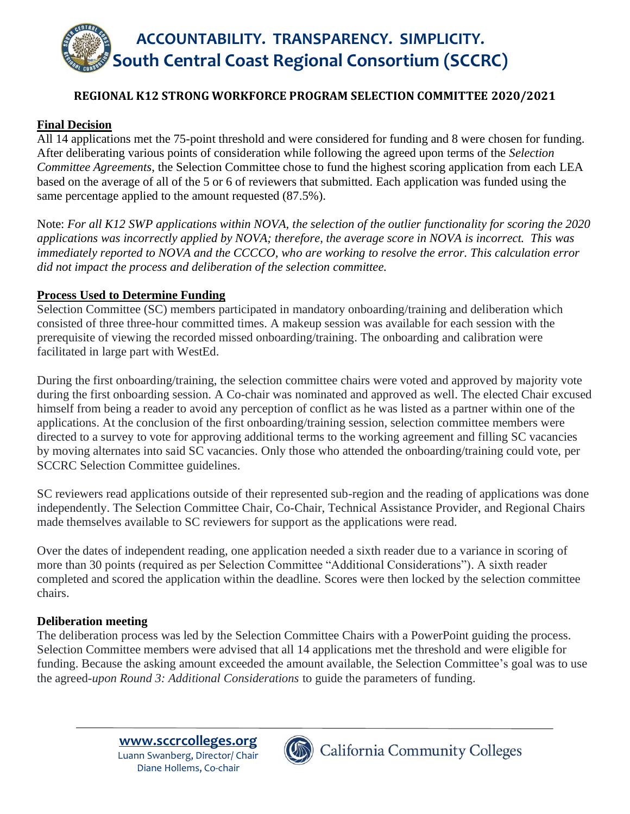

## **REGIONAL K12 STRONG WORKFORCE PROGRAM SELECTION COMMITTEE 2020/2021**

### **Final Decision**

All 14 applications met the 75-point threshold and were considered for funding and 8 were chosen for funding. After deliberating various points of consideration while following the agreed upon terms of the *Selection Committee Agreements*, the Selection Committee chose to fund the highest scoring application from each LEA based on the average of all of the 5 or 6 of reviewers that submitted. Each application was funded using the same percentage applied to the amount requested (87.5%).

Note: *For all K12 SWP applications within NOVA, the selection of the outlier functionality for scoring the 2020 applications was incorrectly applied by NOVA; therefore, the average score in NOVA is incorrect. This was immediately reported to NOVA and the CCCCO, who are working to resolve the error. This calculation error did not impact the process and deliberation of the selection committee.*

#### **Process Used to Determine Funding**

Selection Committee (SC) members participated in mandatory onboarding/training and deliberation which consisted of three three-hour committed times. A makeup session was available for each session with the prerequisite of viewing the recorded missed onboarding/training. The onboarding and calibration were facilitated in large part with WestEd.

During the first onboarding/training, the selection committee chairs were voted and approved by majority vote during the first onboarding session. A Co-chair was nominated and approved as well. The elected Chair excused himself from being a reader to avoid any perception of conflict as he was listed as a partner within one of the applications. At the conclusion of the first onboarding/training session, selection committee members were directed to a survey to vote for approving additional terms to the working agreement and filling SC vacancies by moving alternates into said SC vacancies. Only those who attended the onboarding/training could vote, per SCCRC Selection Committee guidelines.

SC reviewers read applications outside of their represented sub-region and the reading of applications was done independently. The Selection Committee Chair, Co-Chair, Technical Assistance Provider, and Regional Chairs made themselves available to SC reviewers for support as the applications were read.

Over the dates of independent reading, one application needed a sixth reader due to a variance in scoring of more than 30 points (required as per Selection Committee "Additional Considerations"). A sixth reader completed and scored the application within the deadline. Scores were then locked by the selection committee chairs.

#### **Deliberation meeting**

The deliberation process was led by the Selection Committee Chairs with a PowerPoint guiding the process. Selection Committee members were advised that all 14 applications met the threshold and were eligible for funding. Because the asking amount exceeded the amount available, the Selection Committee's goal was to use the agreed-*upon Round 3: Additional Considerations* to guide the parameters of funding.